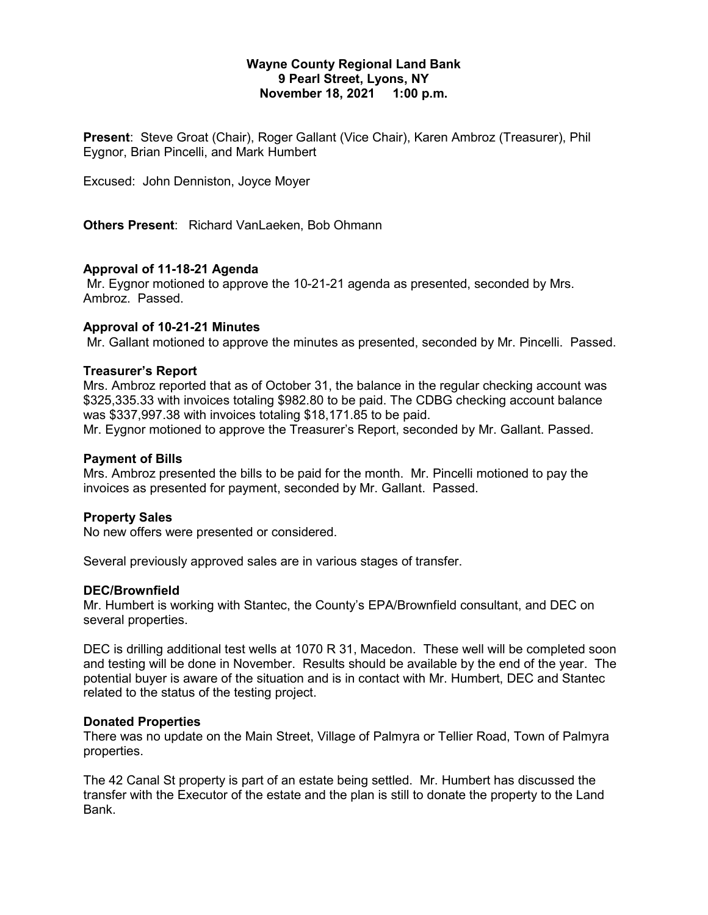# **Wayne County Regional Land Bank 9 Pearl Street, Lyons, NY November 18, 2021 1:00 p.m.**

**Present**: Steve Groat (Chair), Roger Gallant (Vice Chair), Karen Ambroz (Treasurer), Phil Eygnor, Brian Pincelli, and Mark Humbert

Excused: John Denniston, Joyce Moyer

**Others Present**: Richard VanLaeken, Bob Ohmann

### **Approval of 11-18-21 Agenda**

Mr. Eygnor motioned to approve the 10-21-21 agenda as presented, seconded by Mrs. Ambroz. Passed.

### **Approval of 10-21-21 Minutes**

Mr. Gallant motioned to approve the minutes as presented, seconded by Mr. Pincelli. Passed.

### **Treasurer's Report**

Mrs. Ambroz reported that as of October 31, the balance in the regular checking account was \$325,335.33 with invoices totaling \$982.80 to be paid. The CDBG checking account balance was \$337,997.38 with invoices totaling \$18,171.85 to be paid. Mr. Eygnor motioned to approve the Treasurer's Report, seconded by Mr. Gallant. Passed.

# **Payment of Bills**

Mrs. Ambroz presented the bills to be paid for the month. Mr. Pincelli motioned to pay the invoices as presented for payment, seconded by Mr. Gallant. Passed.

### **Property Sales**

No new offers were presented or considered.

Several previously approved sales are in various stages of transfer.

### **DEC/Brownfield**

Mr. Humbert is working with Stantec, the County's EPA/Brownfield consultant, and DEC on several properties.

DEC is drilling additional test wells at 1070 R 31, Macedon. These well will be completed soon and testing will be done in November. Results should be available by the end of the year. The potential buyer is aware of the situation and is in contact with Mr. Humbert, DEC and Stantec related to the status of the testing project.

### **Donated Properties**

There was no update on the Main Street, Village of Palmyra or Tellier Road, Town of Palmyra properties.

The 42 Canal St property is part of an estate being settled. Mr. Humbert has discussed the transfer with the Executor of the estate and the plan is still to donate the property to the Land Bank.